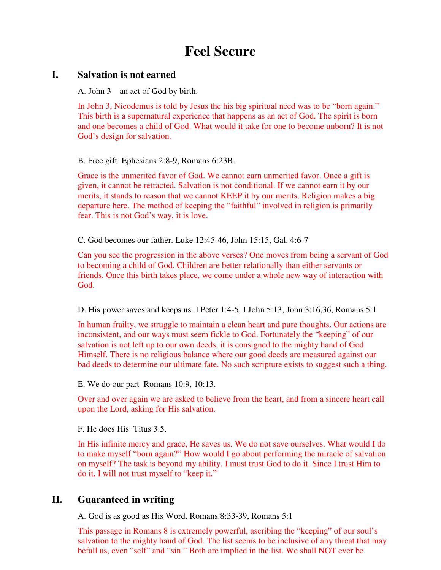# **Feel Secure**

### **I. Salvation is not earned**

A. John 3 an act of God by birth.

In John 3, Nicodemus is told by Jesus the his big spiritual need was to be "born again." This birth is a supernatural experience that happens as an act of God. The spirit is born and one becomes a child of God. What would it take for one to become unborn? It is not God's design for salvation.

B. Free gift Ephesians 2:8-9, Romans 6:23B.

Grace is the unmerited favor of God. We cannot earn unmerited favor. Once a gift is given, it cannot be retracted. Salvation is not conditional. If we cannot earn it by our merits, it stands to reason that we cannot KEEP it by our merits. Religion makes a big departure here. The method of keeping the "faithful" involved in religion is primarily fear. This is not God's way, it is love.

C. God becomes our father. Luke 12:45-46, John 15:15, Gal. 4:6-7

Can you see the progression in the above verses? One moves from being a servant of God to becoming a child of God. Children are better relationally than either servants or friends. Once this birth takes place, we come under a whole new way of interaction with God.

D. His power saves and keeps us. I Peter 1:4-5, I John 5:13, John 3:16,36, Romans 5:1

In human frailty, we struggle to maintain a clean heart and pure thoughts. Our actions are inconsistent, and our ways must seem fickle to God. Fortunately the "keeping" of our salvation is not left up to our own deeds, it is consigned to the mighty hand of God Himself. There is no religious balance where our good deeds are measured against our bad deeds to determine our ultimate fate. No such scripture exists to suggest such a thing.

E. We do our part Romans 10:9, 10:13.

Over and over again we are asked to believe from the heart, and from a sincere heart call upon the Lord, asking for His salvation.

F. He does His Titus 3:5.

In His infinite mercy and grace, He saves us. We do not save ourselves. What would I do to make myself "born again?" How would I go about performing the miracle of salvation on myself? The task is beyond my ability. I must trust God to do it. Since I trust Him to do it, I will not trust myself to "keep it."

### **II. Guaranteed in writing**

A. God is as good as His Word. Romans 8:33-39, Romans 5:1

This passage in Romans 8 is extremely powerful, ascribing the "keeping" of our soul's salvation to the mighty hand of God. The list seems to be inclusive of any threat that may befall us, even "self" and "sin." Both are implied in the list. We shall NOT ever be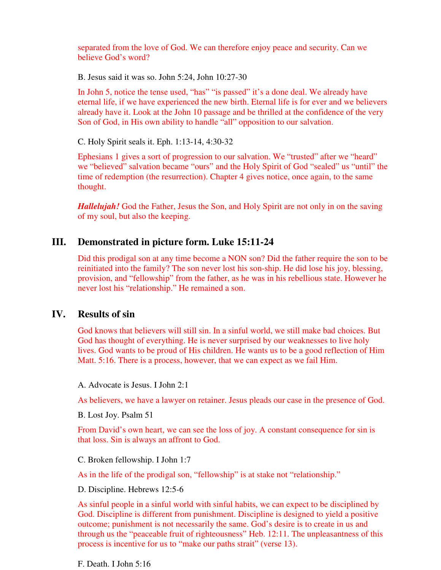separated from the love of God. We can therefore enjoy peace and security. Can we believe God's word?

B. Jesus said it was so. John 5:24, John 10:27-30

In John 5, notice the tense used, "has" "is passed" it's a done deal. We already have eternal life, if we have experienced the new birth. Eternal life is for ever and we believers already have it. Look at the John 10 passage and be thrilled at the confidence of the very Son of God, in His own ability to handle "all" opposition to our salvation.

C. Holy Spirit seals it. Eph. 1:13-14, 4:30-32

Ephesians 1 gives a sort of progression to our salvation. We "trusted" after we "heard" we "believed" salvation became "ours" and the Holy Spirit of God "sealed" us "until" the time of redemption (the resurrection). Chapter 4 gives notice, once again, to the same thought.

*Hallelujah!* God the Father, Jesus the Son, and Holy Spirit are not only in on the saving of my soul, but also the keeping.

## **III. Demonstrated in picture form. Luke 15:11-24**

Did this prodigal son at any time become a NON son? Did the father require the son to be reinitiated into the family? The son never lost his son-ship. He did lose his joy, blessing, provision, and "fellowship" from the father, as he was in his rebellious state. However he never lost his "relationship." He remained a son.

### **IV. Results of sin**

God knows that believers will still sin. In a sinful world, we still make bad choices. But God has thought of everything. He is never surprised by our weaknesses to live holy lives. God wants to be proud of His children. He wants us to be a good reflection of Him Matt. 5:16. There is a process, however, that we can expect as we fail Him.

A. Advocate is Jesus. I John 2:1

As believers, we have a lawyer on retainer. Jesus pleads our case in the presence of God.

B. Lost Joy. Psalm 51

From David's own heart, we can see the loss of joy. A constant consequence for sin is that loss. Sin is always an affront to God.

C. Broken fellowship. I John 1:7

As in the life of the prodigal son, "fellowship" is at stake not "relationship."

D. Discipline. Hebrews 12:5-6

As sinful people in a sinful world with sinful habits, we can expect to be disciplined by God. Discipline is different from punishment. Discipline is designed to yield a positive outcome; punishment is not necessarily the same. God's desire is to create in us and through us the "peaceable fruit of righteousness" Heb. 12:11. The unpleasantness of this process is incentive for us to "make our paths strait" (verse 13).

F. Death. I John 5:16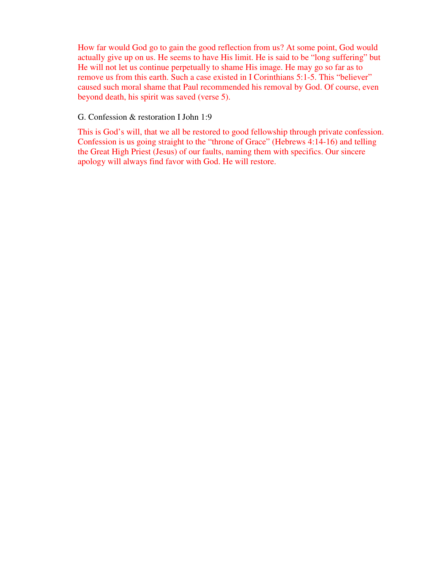How far would God go to gain the good reflection from us? At some point, God would actually give up on us. He seems to have His limit. He is said to be "long suffering" but He will not let us continue perpetually to shame His image. He may go so far as to remove us from this earth. Such a case existed in I Corinthians 5:1-5. This "believer" caused such moral shame that Paul recommended his removal by God. Of course, even beyond death, his spirit was saved (verse 5).

#### G. Confession & restoration I John 1:9

This is God's will, that we all be restored to good fellowship through private confession. Confession is us going straight to the "throne of Grace" (Hebrews 4:14-16) and telling the Great High Priest (Jesus) of our faults, naming them with specifics. Our sincere apology will always find favor with God. He will restore.